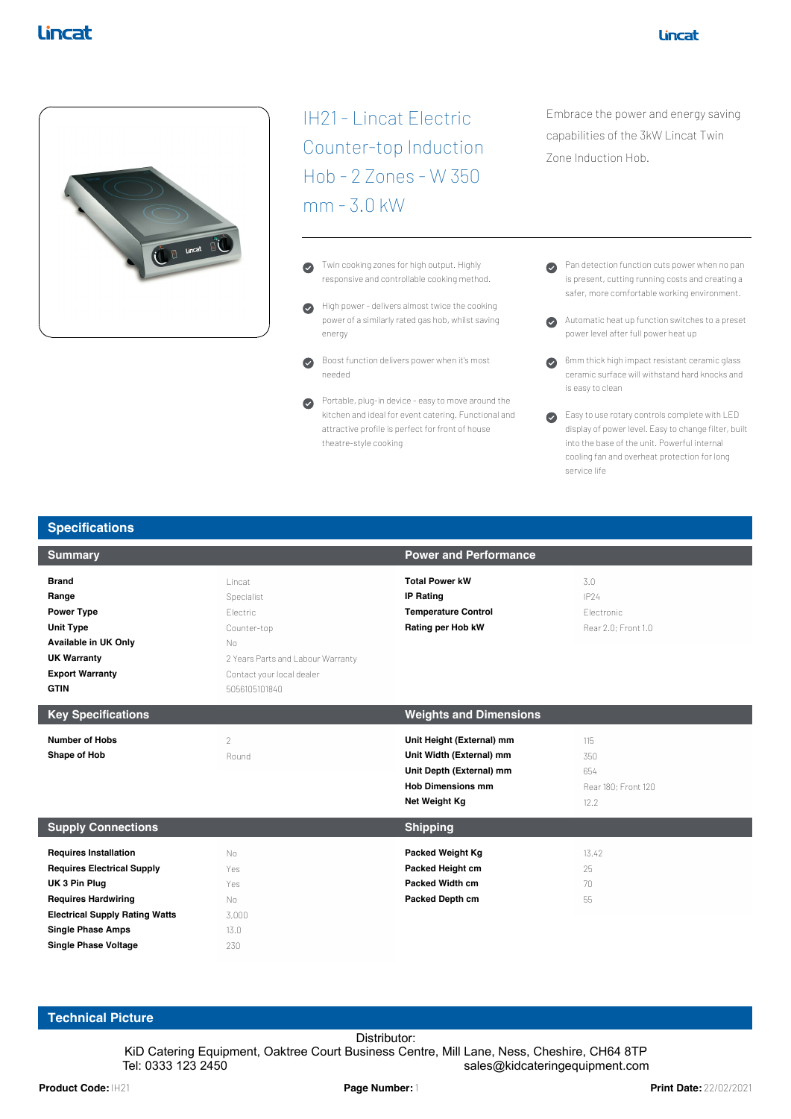

IH21 - Lincat Electric Counter-top Induction Hob - 2 Zones - W 350 mm - 3.0 kW

- Twin cooking zones for high output. Highly  $\bullet$ responsive and controllable cooking method.
- High power delivers almost twice the cooking  $\bullet$ power of a similarly rated gas hob, whilst saving energy
- $\bullet$ Boost function delivers power when it's most needed
- Portable, plug-in device easy to move around the  $\bullet$ kitchen and ideal for event catering. Functional and attractive profile is perfect for front of house theatre-style cooking

Embrace the power and energy saving capabilities of the 3kW Lincat Twin Zone Induction Hob.

- Pan detection function cuts power when no pan is present, cutting running costs and creating a safer, more comfortable working environment.
- Automatic heat up function switches to a preset power level after full power heat up
- 6mm thick high impact resistant ceramic glass ceramic surface will withstand hard knocks and is easy to clean
- Easy to use rotary controls complete with LED display of power level. Easy to change filter, built into the base of the unit. Powerful internal cooling fan and overheat protection for long service life

| <b>Summary</b>                                                                                                                                            |                                                                                                                                          | <b>Power and Performance</b>                                                                                                   |                                                  |
|-----------------------------------------------------------------------------------------------------------------------------------------------------------|------------------------------------------------------------------------------------------------------------------------------------------|--------------------------------------------------------------------------------------------------------------------------------|--------------------------------------------------|
| <b>Brand</b><br>Range<br><b>Power Type</b><br><b>Unit Type</b><br>Available in UK Only<br><b>UK Warranty</b><br><b>Export Warranty</b><br><b>GTIN</b>     | Lincat<br>Specialist<br>Electric<br>Counter-top<br>No<br>2 Years Parts and Labour Warranty<br>Contact your local dealer<br>5056105101840 | <b>Total Power kW</b><br><b>IP Rating</b><br><b>Temperature Control</b><br>Rating per Hob kW                                   | 3.0<br>IP24<br>Flectronic<br>Rear 2.0: Front 1.0 |
| <b>Key Specifications</b>                                                                                                                                 |                                                                                                                                          | <b>Weights and Dimensions</b>                                                                                                  |                                                  |
| <b>Number of Hobs</b><br>Shape of Hob                                                                                                                     | $\overline{2}$<br>Round                                                                                                                  | Unit Height (External) mm<br>Unit Width (External) mm<br>Unit Depth (External) mm<br><b>Hob Dimensions mm</b><br>Net Weight Kg | 115<br>350<br>654<br>Rear 180: Front 120<br>12.2 |
| <b>Supply Connections</b>                                                                                                                                 |                                                                                                                                          | <b>Shipping</b>                                                                                                                |                                                  |
| <b>Requires Installation</b><br><b>Requires Electrical Supply</b><br>UK 3 Pin Plug<br><b>Requires Hardwiring</b><br><b>Electrical Supply Rating Watts</b> | No<br>Yes<br>Yes<br>No<br>3,000                                                                                                          | <b>Packed Weight Kg</b><br>Packed Height cm<br>Packed Width cm<br>Packed Depth cm                                              | 13.42<br>25<br>$70 -$<br>55                      |
| <b>Single Phase Amps</b><br><b>Single Phase Voltage</b>                                                                                                   | 13.0<br>230                                                                                                                              |                                                                                                                                |                                                  |

## **Technical Picture**

**Specifications**

**Product Code:** IH21 Equipment, Oaktree Court Business Centre, Mill Lane, Ness, Cheshire, CH64 8TP<br>Tel: 0333 123 2450 Tel: 0333 123 2450<br>Print Date: 22/02/2021 Product Code: IH21 KiD Catering Equipment, Oaktree Court Business Centre, Mill Lane, Ness, Cheshire, CH64 8TP Tel: 0333 123 2450 sales@kidcateringequipment.com